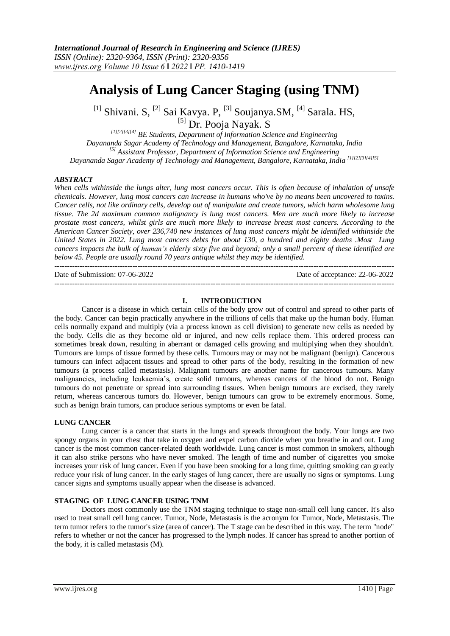# **Analysis of Lung Cancer Staging (using TNM)**

<sup>[1]</sup> Shivani. S, <sup>[2]</sup> Sai Kavya. P, <sup>[3]</sup> Soujanya. SM, <sup>[4]</sup> Sarala. HS, <sup>[5]</sup> Dr. Pooja Nayak. S

*[1][2][3][4] BE Students, Department of Information Science and Engineering Dayananda Sagar Academy of Technology and Management, Bangalore, Karnataka, India [5] Assistant Professor, Department of Information Science and Engineering Dayananda Sagar Academy of Technology and Management, Bangalore, Karnataka, India [1][2][3][4][5]* 

## *ABSTRACT*

*When cells withinside the lungs alter, lung most cancers occur. This is often because of inhalation of unsafe chemicals. However, lung most cancers can increase in humans who've by no means been uncovered to toxins. Cancer cells, not like ordinary cells, develop out of manipulate and create tumors, which harm wholesome lung tissue. The 2d maximum common malignancy is lung most cancers. Men are much more likely to increase prostate most cancers, whilst girls are much more likely to increase breast most cancers. According to the American Cancer Society, over 236,740 new instances of lung most cancers might be identified withinside the United States in 2022. Lung most cancers debts for about 130, a hundred and eighty deaths .Most Lung cancers impacts the bulk of human's elderly sixty five and beyond; only a small percent of these identified are below 45. People are usually round 70 years antique whilst they may be identified.*

---------------------------------------------------------------------------------------------------------------------------------------

Date of Submission: 07-06-2022 Date of acceptance: 22-06-2022 ---------------------------------------------------------------------------------------------------------------------------------------

## **I. INTRODUCTION**

Cancer is a disease in which certain cells of the body grow out of control and spread to other parts of the body. Cancer can begin practically anywhere in the trillions of cells that make up the human body. Human cells normally expand and multiply (via a process known as cell division) to generate new cells as needed by the body. Cells die as they become old or injured, and new cells replace them. This ordered process can sometimes break down, resulting in aberrant or damaged cells growing and multiplying when they shouldn't. Tumours are lumps of tissue formed by these cells. Tumours may or may not be malignant (benign). Cancerous tumours can infect adjacent tissues and spread to other parts of the body, resulting in the formation of new tumours (a process called metastasis). Malignant tumours are another name for cancerous tumours. Many malignancies, including leukaemia's, create solid tumours, whereas cancers of the blood do not. Benign tumours do not penetrate or spread into surrounding tissues. When benign tumours are excised, they rarely return, whereas cancerous tumors do. However, benign tumours can grow to be extremely enormous. Some, such as benign brain tumors, can produce serious symptoms or even be fatal.

#### **LUNG CANCER**

Lung cancer is a cancer that starts in the lungs and spreads throughout the body. Your lungs are two spongy organs in your chest that take in oxygen and expel carbon dioxide when you breathe in and out. Lung cancer is the most common cancer-related death worldwide. Lung cancer is most common in smokers, although it can also strike persons who have never smoked. The length of time and number of cigarettes you smoke increases your risk of lung cancer. Even if you have been smoking for a long time, quitting smoking can greatly reduce your risk of lung cancer. In the early stages of lung cancer, there are usually no signs or symptoms. Lung cancer signs and symptoms usually appear when the disease is advanced.

#### **STAGING OF LUNG CANCER USING TNM**

Doctors most commonly use the TNM staging technique to stage non-small cell lung cancer. It's also used to treat small cell lung cancer. Tumor, Node, Metastasis is the acronym for Tumor, Node, Metastasis. The term tumor refers to the tumor's size (area of cancer). The T stage can be described in this way. The term "node" refers to whether or not the cancer has progressed to the lymph nodes. If cancer has spread to another portion of the body, it is called metastasis (M).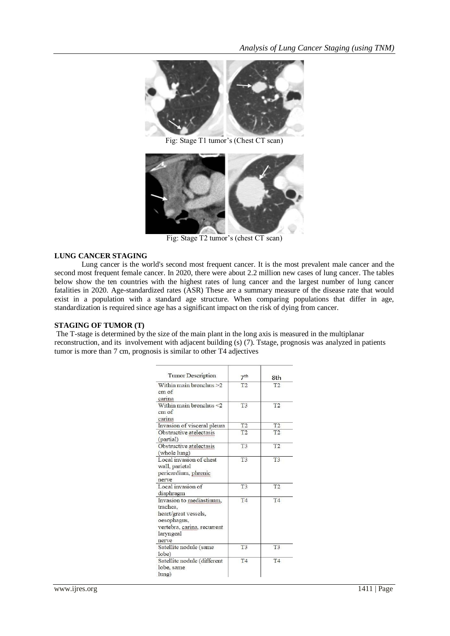

Fig: Stage T1 tumor's (Chest CT scan)



Fig: Stage T2 tumor's (chest CT scan)

## **LUNG CANCER STAGING**

Lung cancer is the world's second most frequent cancer. It is the most prevalent male cancer and the second most frequent female cancer. In 2020, there were about 2.2 million new cases of lung cancer. The tables below show the ten countries with the highest rates of lung cancer and the largest number of lung cancer fatalities in 2020. Age-standardized rates (ASR) These are a summary measure of the disease rate that would exist in a population with a standard age structure. When comparing populations that differ in age, standardization is required since age has a significant impact on the risk of dying from cancer.

#### **STAGING OF TUMOR (T)**

The T-stage is determined by the size of the main plant in the long axis is measured in the multiplanar reconstruction, and its involvement with adjacent building (s) (7). Tstage, prognosis was analyzed in patients tumor is more than 7 cm, prognosis is similar to other T4 adjectives

| Tumor Description                                                                                                                | 7 <sup>th</sup> | 8th            |
|----------------------------------------------------------------------------------------------------------------------------------|-----------------|----------------|
| Within main bronchus >2<br>$cm$ of<br>carina                                                                                     | T <sub>2</sub>  | T2             |
| Within main bronchus <2<br>$cm$ of<br>carina                                                                                     | T <sub>3</sub>  | T <sub>2</sub> |
| Invasion of visceral pleura                                                                                                      | T <sub>2</sub>  | T <sub>2</sub> |
| Obstructive atelectasis<br>(partial)                                                                                             | T <sub>2</sub>  | T2             |
| Obstructive atelectasis<br>(whole lung)                                                                                          | T <sub>3</sub>  | T2             |
| Local invasion of chest<br>wall, parietal<br>pericardium, phrenic<br>nerve                                                       | T <sub>3</sub>  | T <sub>3</sub> |
| Local invasion of<br>diaphragm                                                                                                   | T <sub>3</sub>  | T2             |
| Invasion to mediastinum.<br>trachea,<br>heart/great vessels,<br>oesophagus,<br>vertebra, carina, recurrent<br>laryngeal<br>nerve | T <sub>4</sub>  | T <sub>4</sub> |
| Satellite nodule (same<br>lobe)                                                                                                  | T <sub>3</sub>  | T3             |
| Satellite nodule (different<br>lobe, same<br>$l$ ung)                                                                            | T4              | T4             |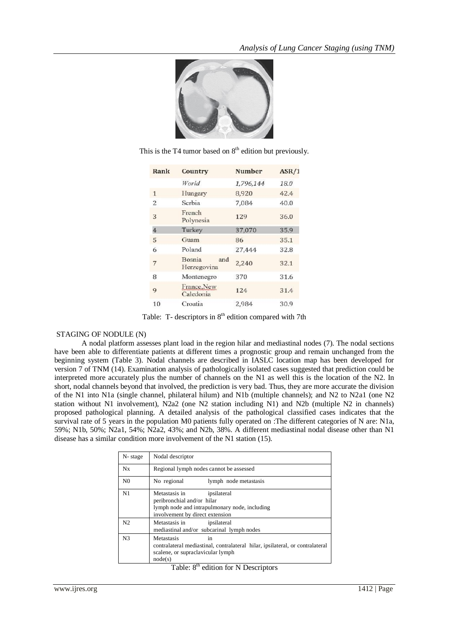

This is the T4 tumor based on  $8<sup>th</sup>$  edition but previously.

| Rank           | Country                             | <b>Number</b> | ASR/1 |
|----------------|-------------------------------------|---------------|-------|
|                | World                               | 1,796,144     | 18.0  |
| $\mathbf{1}$   | Hungary                             | 8,920         | 42.4  |
| $\overline{2}$ | Serbia                              | 7.084         | 40.0  |
| 3              | French<br>Polynesia                 | 129           | 36.0  |
| 4              | Turkey                              | 37,070        | 35.9  |
| 5              | Guam                                | 86            | 35.1  |
| 6              | Poland                              | 27,444        | 32.8  |
| 7              | <b>Bosnia</b><br>and<br>Herzegovina | 2.240         | 32.1  |
| 8              | Montenegro                          | 370           | 31.6  |
| 9              | France, New<br>Caledonia            | 124           | 31.4  |
| 10             | Croatia                             | 2,984         | 30.9  |

Table: T- descriptors in  $8<sup>th</sup>$  edition compared with 7th

## STAGING OF NODULE (N)

A nodal platform assesses plant load in the region hilar and mediastinal nodes (7). The nodal sections have been able to differentiate patients at different times a prognostic group and remain unchanged from the beginning system (Table 3). Nodal channels are described in IASLC location map has been developed for version 7 of TNM (14). Examination analysis of pathologically isolated cases suggested that prediction could be interpreted more accurately plus the number of channels on the N1 as well this is the location of the N2. In short, nodal channels beyond that involved, the prediction is very bad. Thus, they are more accurate the division of the N1 into N1a (single channel, philateral hilum) and N1b (multiple channels); and N2 to N2a1 (one N2 station without N1 involvement), N2a2 (one N2 station including N1) and N2b (multiple N2 in channels) proposed pathological planning. A detailed analysis of the pathological classified cases indicates that the survival rate of 5 years in the population M0 patients fully operated on :The different categories of N are: N1a, 59%; N1b, 50%; N2a1, 54%; N2a2, 43%; and N2b, 38%. A different mediastinal nodal disease other than N1 disease has a similar condition more involvement of the N1 station (15).

| N-stage        | Nodal descriptor                                                                                                                                  |  |  |  |
|----------------|---------------------------------------------------------------------------------------------------------------------------------------------------|--|--|--|
| Nx             | Regional lymph nodes cannot be assessed                                                                                                           |  |  |  |
| N <sub>0</sub> | No regional<br>lymph node metastasis                                                                                                              |  |  |  |
| N1             | Metastasis in<br>ipsilateral<br>peribronchial and/or hilar<br>lymph node and intrapulmonary node, including<br>involvement by direct extension    |  |  |  |
| N <sub>2</sub> | Metastasis in<br>ipsilateral<br>mediastinal and/or subcarinal lymph nodes                                                                         |  |  |  |
| N <sub>3</sub> | in<br>Metastasis<br>contralateral mediastinal, contralateral hilar, ipsilateral, or contralateral<br>scalene, or supraclavicular lymph<br>node(s) |  |  |  |
|                | Table: 8 <sup>th</sup> edition for N Descriptors                                                                                                  |  |  |  |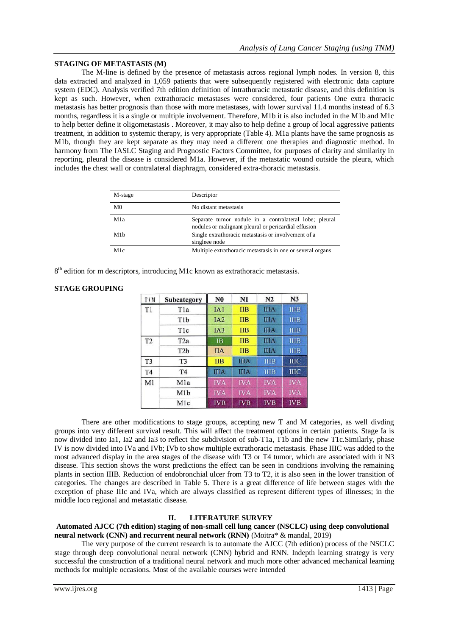## **STAGING OF METASTASIS (M)**

The M-line is defined by the presence of metastasis across regional lymph nodes. In version 8, this data extracted and analyzed in 1,059 patients that were subsequently registered with electronic data capture system (EDC). Analysis verified 7th edition definition of intrathoracic metastatic disease, and this definition is kept as such. However, when extrathoracic metastases were considered, four patients One extra thoracic metastasis has better prognosis than those with more metastases, with lower survival 11.4 months instead of 6.3 months, regardless it is a single or multiple involvement. Therefore, M1b it is also included in the M1b and M1c to help better define it oligometastasis . Moreover, it may also to help define a group of local aggressive patients treatment, in addition to systemic therapy, is very appropriate (Table 4). M1a plants have the same prognosis as M1b, though they are kept separate as they may need a different one therapies and diagnostic method. In harmony from The IASLC Staging and Prognostic Factors Committee, for purposes of clarity and similarity in reporting, pleural the disease is considered M1a. However, if the metastatic wound outside the pleura, which includes the chest wall or contralateral diaphragm, considered extra-thoracic metastasis.

| M-stage          | Descriptor                                                                                                     |
|------------------|----------------------------------------------------------------------------------------------------------------|
| M <sub>0</sub>   | No distant metastasis                                                                                          |
| M1a              | Separate tumor nodule in a contralateral lobe; pleural<br>nodules or malignant pleural or pericardial effusion |
| M1 <sub>b</sub>  | Single extrathoracic metastasis or involvement of a<br>singleee node                                           |
| M <sub>1</sub> c | Multiple extrathoracic metastasis in one or several organs                                                     |

 $8<sup>th</sup>$  edition for m descriptors, introducing M1c known as extrathoracic metastasis.

## **STAGE GROUPING**

| T/M            | Subcategory      | N <sub>0</sub>  | N1          | N <sub>2</sub> | N <sub>3</sub> |
|----------------|------------------|-----------------|-------------|----------------|----------------|
| T <sub>1</sub> | T <sub>1</sub> a | IA1             | <b>IIB</b>  | <b>IIIA</b>    | <b>IIIB</b>    |
|                | T <sub>1</sub> b | IA <sub>2</sub> | <b>IIB</b>  | <b>IIIA</b>    | <b>IIIB</b>    |
|                | T <sub>1</sub> c | IA3             | <b>IIB</b>  | <b>IIIA</b>    | <b>IIIB</b>    |
| T <sub>2</sub> | T <sub>2</sub> a | <b>IB</b>       | <b>IIB</b>  | <b>IIIA</b>    | <b>IIIB</b>    |
|                | T <sub>2</sub> b | <b>IIA</b>      | <b>IIB</b>  | <b>IIIA</b>    | <b>IIIB</b>    |
| T <sub>3</sub> | T <sub>3</sub>   | <b>IIB</b>      | <b>IIIA</b> | <b>IIIB</b>    | <b>IIIC</b>    |
| T <sub>4</sub> | T <sub>4</sub>   | <b>IIIA</b>     | <b>IIIA</b> | <b>IIIB</b>    | <b>IIIC</b>    |
| M1             | M <sub>1</sub> a | <b>IVA</b>      | <b>IVA</b>  | <b>IVA</b>     | <b>IVA</b>     |
|                | M <sub>1</sub> b | <b>IVA</b>      | <b>IVA</b>  | <b>IVA</b>     | <b>IVA</b>     |
|                | Mlc              | <b>IVB</b>      | <b>IVB</b>  | <b>IVB</b>     | <b>IVB</b>     |

There are other modifications to stage groups, accepting new T and M categories, as well divding groups into very different survival result. This will affect the treatment options in certain patients. Stage Ia is now divided into Ia1, Ia2 and Ia3 to reflect the subdivision of sub-T1a, T1b and the new T1c.Similarly, phase IV is now divided into IVa and IVb; IVb to show multiple extrathoracic metastasis. Phase IIIC was added to the most advanced display in the area stages of the disease with T3 or T4 tumor, which are associated with it N3 disease. This section shows the worst predictions the effect can be seen in conditions involving the remaining plants in section IIIB. Reduction of endobronchial ulcer from T3 to T2, it is also seen in the lower transition of categories. The changes are described in Table 5. There is a great difference of life between stages with the exception of phase IIIc and IVa, which are always classified as represent different types of illnesses; in the middle loco regional and metastatic disease.

## **II. LITERATURE SURVEY**

#### **Automated AJCC (7th edition) staging of non-small cell lung cancer (NSCLC) using deep convolutional neural network (CNN) and recurrent neural network (RNN)** (Moitra\* & mandal, 2019)

The very purpose of the current research is to automate the AJCC (7th edition) process of the NSCLC stage through deep convolutional neural network (CNN) hybrid and RNN. Indepth learning strategy is very successful the construction of a traditional neural network and much more other advanced mechanical learning methods for multiple occasions. Most of the available courses were intended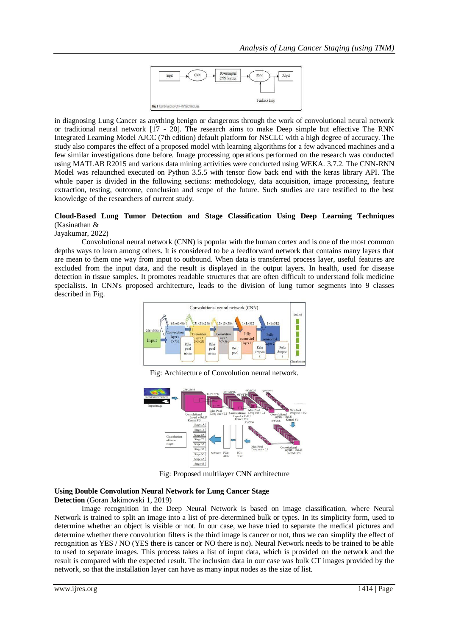

in diagnosing Lung Cancer as anything benign or dangerous through the work of convolutional neural network or traditional neural network [17 - 20]. The research aims to make Deep simple but effective The RNN Integrated Learning Model AJCC (7th edition) default platform for NSCLC with a high degree of accuracy. The study also compares the effect of a proposed model with learning algorithms for a few advanced machines and a few similar investigations done before. Image processing operations performed on the research was conducted using MATLAB R2015 and various data mining activities were conducted using WEKA. 3.7.2. The CNN-RNN Model was relaunched executed on Python 3.5.5 with tensor flow back end with the keras library API. The whole paper is divided in the following sections: methodology, data acquisition, image processing, feature extraction, testing, outcome, conclusion and scope of the future. Such studies are rare testified to the best knowledge of the researchers of current study.

## **Cloud-Based Lung Tumor Detection and Stage Classification Using Deep Learning Techniques** (Kasinathan &

Jayakumar, 2022)

Convolutional neural network (CNN) is popular with the human cortex and is one of the most common depths ways to learn among others. It is considered to be a feedforward network that contains many layers that are mean to them one way from input to outbound. When data is transferred process layer, useful features are excluded from the input data, and the result is displayed in the output layers. In health, used for disease detection in tissue samples. It promotes readable structures that are often difficult to understand folk medicine specialists. In CNN's proposed architecture, leads to the division of lung tumor segments into 9 classes described in Fig.



Fig: Architecture of Convolution neural network.



Fig: Proposed multilayer CNN architecture

## **Using Double Convolution Neural Network for Lung Cancer Stage**

**Detection** (Goran Jakimovski 1, 2019)

Image recognition in the Deep Neural Network is based on image classification, where Neural Network is trained to split an image into a list of pre-determined bulk or types. In its simplicity form, used to determine whether an object is visible or not. In our case, we have tried to separate the medical pictures and determine whether there convolution filters is the third image is cancer or not, thus we can simplify the effect of recognition as YES / NO (YES there is cancer or NO there is no). Neural Network needs to be trained to be able to used to separate images. This process takes a list of input data, which is provided on the network and the result is compared with the expected result. The inclusion data in our case was bulk CT images provided by the network, so that the installation layer can have as many input nodes as the size of list.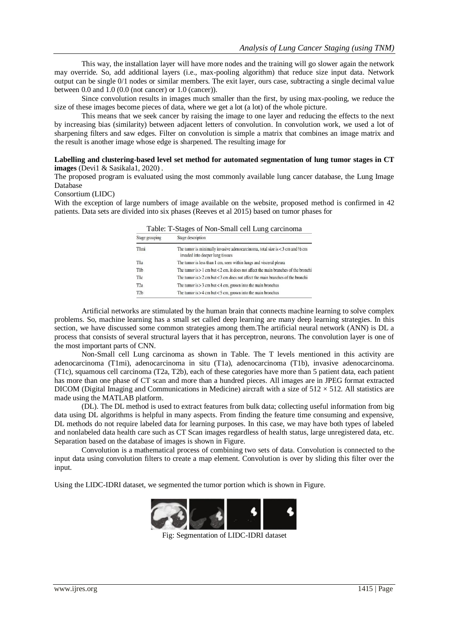This way, the installation layer will have more nodes and the training will go slower again the network may override. So, add additional layers (i.e., max-pooling algorithm) that reduce size input data. Network output can be single 0/1 nodes or similar members. The exit layer, ours case, subtracting a single decimal value between 0.0 and 1.0 (0.0 (not cancer) or 1.0 (cancer)).

Since convolution results in images much smaller than the first, by using max-pooling, we reduce the size of these images become pieces of data, where we get a lot (a lot) of the whole picture.

This means that we seek cancer by raising the image to one layer and reducing the effects to the next by increasing bias (similarity) between adjacent letters of convolution. In convolution work, we used a lot of sharpening filters and saw edges. Filter on convolution is simple a matrix that combines an image matrix and the result is another image whose edge is sharpened. The resulting image for

#### **Labelling and clustering-based level set method for automated segmentation of lung tumor stages in CT images** (Devi1 & Sasikala1, 2020) .

The proposed program is evaluated using the most commonly available lung cancer database, the Lung Image Database

## Consortium (LIDC)

With the exception of large numbers of image available on the website, proposed method is confirmed in 42 patients. Data sets are divided into six phases (Reeves et al 2015) based on tumor phases for

| Stage grouping   | Stage description                                                                                                               |
|------------------|---------------------------------------------------------------------------------------------------------------------------------|
| T1mi             | The tumor is minimally invasive adenocarcinoma, total size is $<$ 3 cm and $\frac{1}{2}$ cm<br>invaded into deeper lung tissues |
| Tla              | The tumor is less than 1 cm, seen within lungs and visceral pleura                                                              |
| T <sub>1</sub> b | The tumor is $> 1$ cm but $< 2$ cm, it does not affect the main branches of the bronchi                                         |
| Tlc              | The tumor is $> 2$ cm but $<$ 3 cm does not affect the main branches of the bronchi                                             |
| T <sub>2</sub> a | The tumor is $> 3$ cm but $< 4$ cm, grown into the main bronchus                                                                |
| T <sub>2</sub> b | The tumor is $>$ 4 cm but < 5 cm, grown into the main bronchus                                                                  |
|                  |                                                                                                                                 |

Table: T-Stages of Non-Small cell Lung carcinoma

Artificial networks are stimulated by the human brain that connects machine learning to solve complex problems. So, machine learning has a small set called deep learning are many deep learning strategies. In this section, we have discussed some common strategies among them.The artificial neural network (ANN) is DL a process that consists of several structural layers that it has perceptron, neurons. The convolution layer is one of the most important parts of CNN.

Non-Small cell Lung carcinoma as shown in Table. The T levels mentioned in this activity are adenocarcinoma (T1mi), adenocarcinoma in situ (T1a), adenocarcinoma (T1b), invasive adenocarcinoma. (T1c), squamous cell carcinoma (T2a, T2b), each of these categories have more than 5 patient data, each patient has more than one phase of CT scan and more than a hundred pieces. All images are in JPEG format extracted DICOM (Digital Imaging and Communications in Medicine) aircraft with a size of  $512 \times 512$ . All statistics are made using the MATLAB platform.

(DL). The DL method is used to extract features from bulk data; collecting useful information from big data using DL algorithms is helpful in many aspects. From finding the feature time consuming and expensive, DL methods do not require labeled data for learning purposes. In this case, we may have both types of labeled and nonlabeled data health care such as CT Scan images regardless of health status, large unregistered data, etc. Separation based on the database of images is shown in Figure.

Convolution is a mathematical process of combining two sets of data. Convolution is connected to the input data using convolution filters to create a map element. Convolution is over by sliding this filter over the input.

Using the LIDC-IDRI dataset, we segmented the tumor portion which is shown in Figure.



Fig: Segmentation of LIDC-IDRI dataset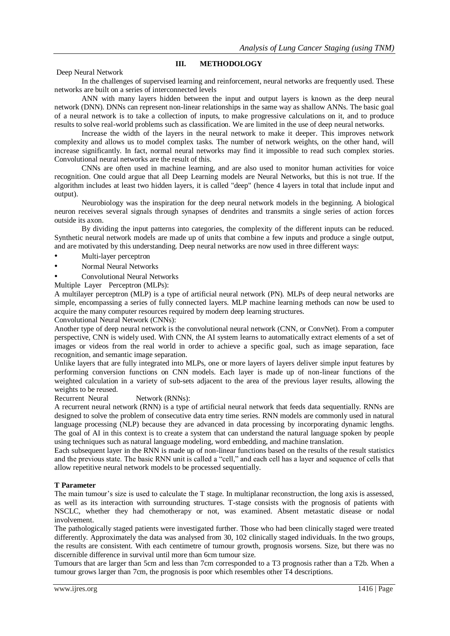## **III. METHODOLOGY**

Deep Neural Network

In the challenges of supervised learning and reinforcement, neural networks are frequently used. These networks are built on a series of interconnected levels

ANN with many layers hidden between the input and output layers is known as the deep neural network (DNN). DNNs can represent non-linear relationships in the same way as shallow ANNs. The basic goal of a neural network is to take a collection of inputs, to make progressive calculations on it, and to produce results to solve real-world problems such as classification. We are limited in the use of deep neural networks.

Increase the width of the layers in the neural network to make it deeper. This improves network complexity and allows us to model complex tasks. The number of network weights, on the other hand, will increase significantly. In fact, normal neural networks may find it impossible to read such complex stories. Convolutional neural networks are the result of this.

CNNs are often used in machine learning, and are also used to monitor human activities for voice recognition. One could argue that all Deep Learning models are Neural Networks, but this is not true. If the algorithm includes at least two hidden layers, it is called "deep" (hence 4 layers in total that include input and output).

Neurobiology was the inspiration for the deep neural network models in the beginning. A biological neuron receives several signals through synapses of dendrites and transmits a single series of action forces outside its axon.

By dividing the input patterns into categories, the complexity of the different inputs can be reduced. Synthetic neural network models are made up of units that combine a few inputs and produce a single output, and are motivated by this understanding. Deep neural networks are now used in three different ways:

- Multi-layer perceptron
- Normal Neural Networks
- Convolutional Neural Networks

Multiple Layer Perceptron (MLPs):

A multilayer perceptron (MLP) is a type of artificial neural network (PN). MLPs of deep neural networks are simple, encompassing a series of fully connected layers. MLP machine learning methods can now be used to acquire the many computer resources required by modern deep learning structures.

Convolutional Neural Network (CNNs):

Another type of deep neural network is the convolutional neural network (CNN, or ConvNet). From a computer perspective, CNN is widely used. With CNN, the AI system learns to automatically extract elements of a set of images or videos from the real world in order to achieve a specific goal, such as image separation, face recognition, and semantic image separation.

Unlike layers that are fully integrated into MLPs, one or more layers of layers deliver simple input features by performing conversion functions on CNN models. Each layer is made up of non-linear functions of the weighted calculation in a variety of sub-sets adjacent to the area of the previous layer results, allowing the weights to be reused.

Recurrent Neural Network (RNNs):

A recurrent neural network (RNN) is a type of artificial neural network that feeds data sequentially. RNNs are designed to solve the problem of consecutive data entry time series. RNN models are commonly used in natural language processing (NLP) because they are advanced in data processing by incorporating dynamic lengths. The goal of AI in this context is to create a system that can understand the natural language spoken by people using techniques such as natural language modeling, word embedding, and machine translation.

Each subsequent layer in the RNN is made up of non-linear functions based on the results of the result statistics and the previous state. The basic RNN unit is called a "cell," and each cell has a layer and sequence of cells that allow repetitive neural network models to be processed sequentially.

#### **T Parameter**

The main tumour's size is used to calculate the T stage. In multiplanar reconstruction, the long axis is assessed, as well as its interaction with surrounding structures. T-stage consists with the prognosis of patients with NSCLC, whether they had chemotherapy or not, was examined. Absent metastatic disease or nodal involvement.

The pathologically staged patients were investigated further. Those who had been clinically staged were treated differently. Approximately the data was analysed from 30, 102 clinically staged individuals. In the two groups, the results are consistent. With each centimetre of tumour growth, prognosis worsens. Size, but there was no discernible difference in survival until more than 6cm tumour size.

Tumours that are larger than 5cm and less than 7cm corresponded to a T3 prognosis rather than a T2b. When a tumour grows larger than 7cm, the prognosis is poor which resembles other T4 descriptions.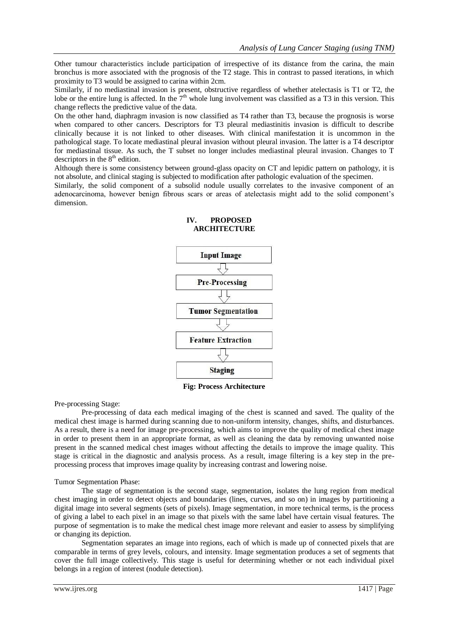Other tumour characteristics include participation of irrespective of its distance from the carina, the main bronchus is more associated with the prognosis of the T2 stage. This in contrast to passed iterations, in which proximity to T3 would be assigned to carina within 2cm.

Similarly, if no mediastinal invasion is present, obstructive regardless of whether atelectasis is T1 or T2, the lobe or the entire lung is affected. In the  $7<sup>th</sup>$  whole lung involvement was classified as a T3 in this version. This change reflects the predictive value of the data.

On the other hand, diaphragm invasion is now classified as T4 rather than T3, because the prognosis is worse when compared to other cancers. Descriptors for T3 pleural mediastinitis invasion is difficult to describe clinically because it is not linked to other diseases. With clinical manifestation it is uncommon in the pathological stage. To locate mediastinal pleural invasion without pleural invasion. The latter is a T4 descriptor for mediastinal tissue. As such, the T subset no longer includes mediastinal pleural invasion. Changes to T descriptors in the  $8<sup>th</sup>$  edition.

Although there is some consistency between ground-glass opacity on CT and lepidic pattern on pathology, it is not absolute, and clinical staging is subjected to modification after pathologic evaluation of the specimen.

Similarly, the solid component of a subsolid nodule usually correlates to the invasive component of an adenocarcinoma, however benign fibrous scars or areas of atelectasis might add to the solid component's dimension.



# **IV. PROPOSED ARCHITECTURE**

**Fig: Process Architecture** 

Pre-processing Stage:

Pre-processing of data each medical imaging of the chest is scanned and saved. The quality of the medical chest image is harmed during scanning due to non-uniform intensity, changes, shifts, and disturbances. As a result, there is a need for image pre-processing, which aims to improve the quality of medical chest image in order to present them in an appropriate format, as well as cleaning the data by removing unwanted noise present in the scanned medical chest images without affecting the details to improve the image quality. This stage is critical in the diagnostic and analysis process. As a result, image filtering is a key step in the preprocessing process that improves image quality by increasing contrast and lowering noise.

#### Tumor Segmentation Phase:

The stage of segmentation is the second stage, segmentation, isolates the lung region from medical chest imaging in order to detect objects and boundaries (lines, curves, and so on) in images by partitioning a digital image into several segments (sets of pixels). Image segmentation, in more technical terms, is the process of giving a label to each pixel in an image so that pixels with the same label have certain visual features. The purpose of segmentation is to make the medical chest image more relevant and easier to assess by simplifying or changing its depiction.

Segmentation separates an image into regions, each of which is made up of connected pixels that are comparable in terms of grey levels, colours, and intensity. Image segmentation produces a set of segments that cover the full image collectively. This stage is useful for determining whether or not each individual pixel belongs in a region of interest (nodule detection).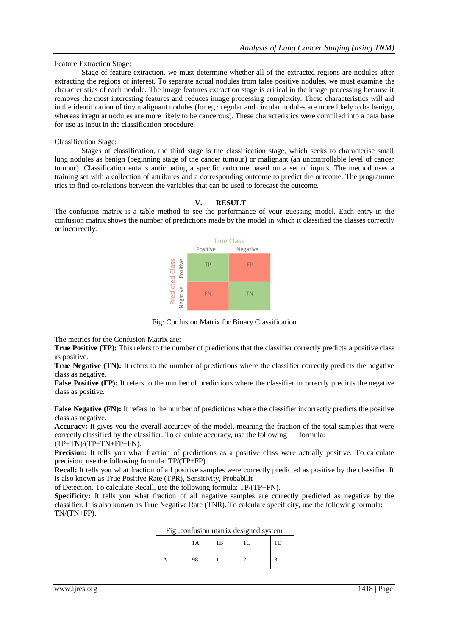#### Feature Extraction Stage:

Stage of feature extraction, we must determine whether all of the extracted regions are nodules after extracting the regions of interest. To separate actual nodules from false positive nodules, we must examine the characteristics of each nodule. The image features extraction stage is critical in the image processing because it removes the most interesting features and reduces image processing complexity. These characteristics will aid in the identification of tiny malignant nodules (for eg : regular and circular nodules are more likely to be benign, whereas irregular nodules are more likely to be cancerous). These characteristics were compiled into a data base for use as input in the classification procedure.

#### Classification Stage:

Stages of classification, the third stage is the classification stage, which seeks to characterise small lung nodules as benign (beginning stage of the cancer tumour) or malignant (an uncontrollable level of cancer tumour). Classification entails anticipating a specific outcome based on a set of inputs. The method uses a training set with a collection of attributes and a corresponding outcome to predict the outcome. The programme tries to find co-relations between the variables that can be used to forecast the outcome.

## **V. RESULT**

The confusion matrix is a table method to see the performance of your guessing model. Each entry in the confusion matrix shows the number of predictions made by the model in which it classified the classes correctly or incorrectly.



Fig: Confusion Matrix for Binary Classification

The metrics for the Confusion Matrix are:

**True Positive (TP):** This refers to the number of predictions that the classifier correctly predicts a positive class as positive.

**True Negative (TN):** It refers to the number of predictions where the classifier correctly predicts the negative class as negative.

**False Positive (FP):** It refers to the number of predictions where the classifier incorrectly predicts the negative class as positive.

False Negative (FN): It refers to the number of predictions where the classifier incorrectly predicts the positive class as negative.

**Accuracy:** It gives you the overall accuracy of the model, meaning the fraction of the total samples that were correctly classified by the classifier. To calculate accuracy, use the following formula:  $(TP+TN)/(TP+TN+FP+FN). \label{eq:optimal}$ 

**Precision:** It tells you what fraction of predictions as a positive class were actually positive. To calculate precision, use the following formula: TP/(TP+FP).

**Recall:** It tells you what fraction of all positive samples were correctly predicted as positive by the classifier. It is also known as True Positive Rate (TPR), Sensitivity, Probabilit

of Detection. To calculate Recall, use the following formula: TP/(TP+FN).

**Specificity:** It tells you what fraction of all negative samples are correctly predicted as negative by the classifier. It is also known as True Negative Rate (TNR). To calculate specificity, use the following formula: TN/(TN+FP).

|    | 1A | 1B | 1 <sup>C</sup> | 1D |
|----|----|----|----------------|----|
| 1A | 98 |    |                |    |

| Fig : confusion matrix designed system |  |  |
|----------------------------------------|--|--|
|                                        |  |  |